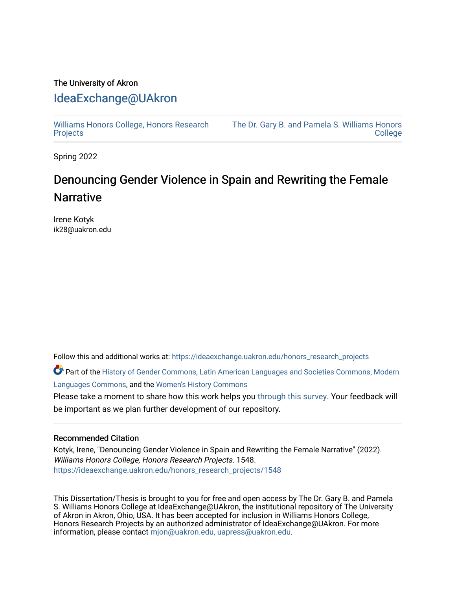# The University of Akron [IdeaExchange@UAkron](https://ideaexchange.uakron.edu/)

[Williams Honors College, Honors Research](https://ideaexchange.uakron.edu/honors_research_projects)  **[Projects](https://ideaexchange.uakron.edu/honors_research_projects)** 

[The Dr. Gary B. and Pamela S. Williams Honors](https://ideaexchange.uakron.edu/honorscollege_ideas)  **College** 

Spring 2022

# Denouncing Gender Violence in Spain and Rewriting the Female **Narrative**

Irene Kotyk ik28@uakron.edu

Follow this and additional works at: [https://ideaexchange.uakron.edu/honors\\_research\\_projects](https://ideaexchange.uakron.edu/honors_research_projects?utm_source=ideaexchange.uakron.edu%2Fhonors_research_projects%2F1548&utm_medium=PDF&utm_campaign=PDFCoverPages) 

Part of the [History of Gender Commons,](http://network.bepress.com/hgg/discipline/498?utm_source=ideaexchange.uakron.edu%2Fhonors_research_projects%2F1548&utm_medium=PDF&utm_campaign=PDFCoverPages) [Latin American Languages and Societies Commons,](http://network.bepress.com/hgg/discipline/483?utm_source=ideaexchange.uakron.edu%2Fhonors_research_projects%2F1548&utm_medium=PDF&utm_campaign=PDFCoverPages) [Modern](http://network.bepress.com/hgg/discipline/1130?utm_source=ideaexchange.uakron.edu%2Fhonors_research_projects%2F1548&utm_medium=PDF&utm_campaign=PDFCoverPages) [Languages Commons,](http://network.bepress.com/hgg/discipline/1130?utm_source=ideaexchange.uakron.edu%2Fhonors_research_projects%2F1548&utm_medium=PDF&utm_campaign=PDFCoverPages) and the [Women's History Commons](http://network.bepress.com/hgg/discipline/507?utm_source=ideaexchange.uakron.edu%2Fhonors_research_projects%2F1548&utm_medium=PDF&utm_campaign=PDFCoverPages)

Please take a moment to share how this work helps you [through this survey](http://survey.az1.qualtrics.com/SE/?SID=SV_eEVH54oiCbOw05f&URL=https://ideaexchange.uakron.edu/honors_research_projects/1548). Your feedback will be important as we plan further development of our repository.

### Recommended Citation

Kotyk, Irene, "Denouncing Gender Violence in Spain and Rewriting the Female Narrative" (2022). Williams Honors College, Honors Research Projects. 1548. [https://ideaexchange.uakron.edu/honors\\_research\\_projects/1548](https://ideaexchange.uakron.edu/honors_research_projects/1548?utm_source=ideaexchange.uakron.edu%2Fhonors_research_projects%2F1548&utm_medium=PDF&utm_campaign=PDFCoverPages) 

This Dissertation/Thesis is brought to you for free and open access by The Dr. Gary B. and Pamela S. Williams Honors College at IdeaExchange@UAkron, the institutional repository of The University of Akron in Akron, Ohio, USA. It has been accepted for inclusion in Williams Honors College, Honors Research Projects by an authorized administrator of IdeaExchange@UAkron. For more information, please contact [mjon@uakron.edu, uapress@uakron.edu.](mailto:mjon@uakron.edu,%20uapress@uakron.edu)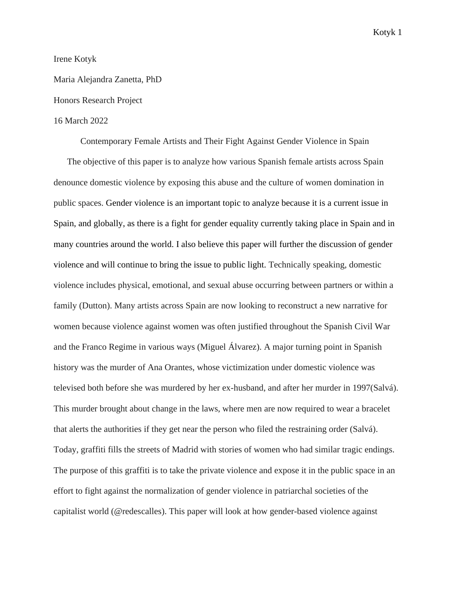#### Irene Kotyk

Maria Alejandra Zanetta, PhD

## Honors Research Project

#### 16 March 2022

Contemporary Female Artists and Their Fight Against Gender Violence in Spain The objective of this paper is to analyze how various Spanish female artists across Spain denounce domestic violence by exposing this abuse and the culture of women domination in public spaces. Gender violence is an important topic to analyze because it is a current issue in Spain, and globally, as there is a fight for gender equality currently taking place in Spain and in many countries around the world. I also believe this paper will further the discussion of gender violence and will continue to bring the issue to public light. Technically speaking, domestic violence includes physical, emotional, and sexual abuse occurring between partners or within a family (Dutton). Many artists across Spain are now looking to reconstruct a new narrative for women because violence against women was often justified throughout the Spanish Civil War and the Franco Regime in various ways (Miguel Álvarez). A major turning point in Spanish history was the murder of Ana Orantes, whose victimization under domestic violence was televised both before she was murdered by her ex-husband, and after her murder in 1997(Salvá). This murder brought about change in the laws, where men are now required to wear a bracelet that alerts the authorities if they get near the person who filed the restraining order (Salvá). Today, graffiti fills the streets of Madrid with stories of women who had similar tragic endings. The purpose of this graffiti is to take the private violence and expose it in the public space in an effort to fight against the normalization of gender violence in patriarchal societies of the capitalist world (@redescalles). This paper will look at how gender-based violence against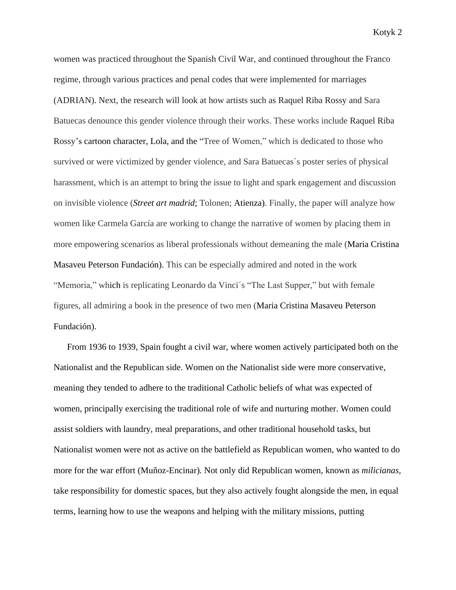women was practiced throughout the Spanish Civil War, and continued throughout the Franco regime, through various practices and penal codes that were implemented for marriages (ADRIAN). Next, the research will look at how artists such as Raquel Riba Rossy and Sara Batuecas denounce this gender violence through their works. These works include Raquel Riba Rossy's cartoon character, Lola, and the "Tree of Women," which is dedicated to those who survived or were victimized by gender violence, and Sara Batuecas´s poster series of physical harassment, which is an attempt to bring the issue to light and spark engagement and discussion on invisible violence (*Street art madrid*; Tolonen; Atienza). Finally, the paper will analyze how women like Carmela García are working to change the narrative of women by placing them in more empowering scenarios as liberal professionals without demeaning the male (Maria Cristina Masaveu Peterson Fundación). This can be especially admired and noted in the work "Memoria," which is replicating Leonardo da Vinci´s "The Last Supper*,*" but with female figures, all admiring a book in the presence of two men (Maria Cristina Masaveu Peterson Fundación).

From 1936 to 1939, Spain fought a civil war, where women actively participated both on the Nationalist and the Republican side. Women on the Nationalist side were more conservative, meaning they tended to adhere to the traditional Catholic beliefs of what was expected of women, principally exercising the traditional role of wife and nurturing mother. Women could assist soldiers with laundry, meal preparations, and other traditional household tasks, but Nationalist women were not as active on the battlefield as Republican women, who wanted to do more for the war effort (Muñoz-Encinar)*.* Not only did Republican women, known as *milicianas,* take responsibility for domestic spaces, but they also actively fought alongside the men, in equal terms, learning how to use the weapons and helping with the military missions, putting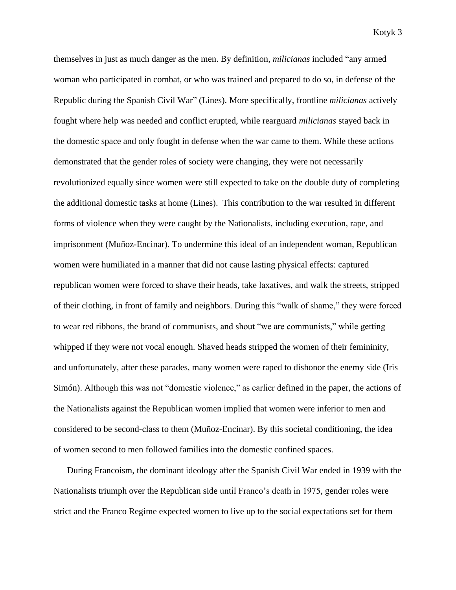themselves in just as much danger as the men. By definition, *milicianas* included "any armed woman who participated in combat, or who was trained and prepared to do so, in defense of the Republic during the Spanish Civil War" (Lines). More specifically, frontline *milicianas* actively fought where help was needed and conflict erupted, while rearguard *milicianas* stayed back in the domestic space and only fought in defense when the war came to them. While these actions demonstrated that the gender roles of society were changing, they were not necessarily revolutionized equally since women were still expected to take on the double duty of completing the additional domestic tasks at home (Lines). This contribution to the war resulted in different forms of violence when they were caught by the Nationalists, including execution, rape, and imprisonment (Muñoz-Encinar)*.* To undermine this ideal of an independent woman, Republican women were humiliated in a manner that did not cause lasting physical effects: captured republican women were forced to shave their heads, take laxatives, and walk the streets, stripped of their clothing, in front of family and neighbors. During this "walk of shame," they were forced to wear red ribbons, the brand of communists, and shout "we are communists," while getting whipped if they were not vocal enough. Shaved heads stripped the women of their femininity, and unfortunately, after these parades, many women were raped to dishonor the enemy side (Iris Simón). Although this was not "domestic violence," as earlier defined in the paper, the actions of the Nationalists against the Republican women implied that women were inferior to men and considered to be second-class to them (Muñoz-Encinar). By this societal conditioning, the idea of women second to men followed families into the domestic confined spaces.

During Francoism, the dominant ideology after the Spanish Civil War ended in 1939 with the Nationalists triumph over the Republican side until Franco's death in 1975, gender roles were strict and the Franco Regime expected women to live up to the social expectations set for them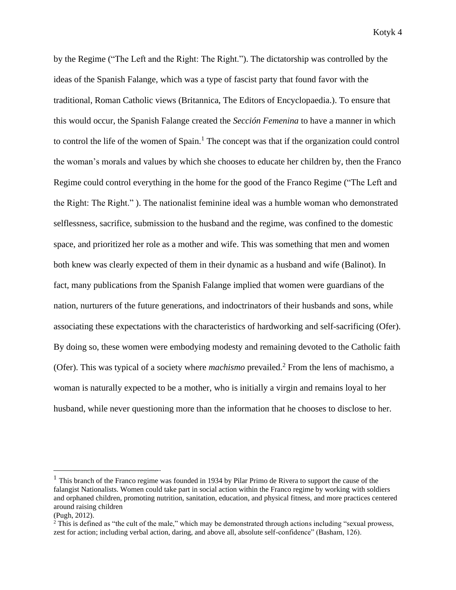by the Regime ("The Left and the Right: The Right."). The dictatorship was controlled by the ideas of the Spanish Falange, which was a type of fascist party that found favor with the traditional, Roman Catholic views (Britannica, The Editors of Encyclopaedia.). To ensure that this would occur, the Spanish Falange created the *Sección Femenina* to have a manner in which to control the life of the women of Spain.<sup>1</sup> The concept was that if the organization could control the woman's morals and values by which she chooses to educate her children by, then the Franco Regime could control everything in the home for the good of the Franco Regime ("The Left and the Right: The Right." ). The nationalist feminine ideal was a humble woman who demonstrated selflessness, sacrifice, submission to the husband and the regime, was confined to the domestic space, and prioritized her role as a mother and wife. This was something that men and women both knew was clearly expected of them in their dynamic as a husband and wife (Balinot). In fact, many publications from the Spanish Falange implied that women were guardians of the nation, nurturers of the future generations, and indoctrinators of their husbands and sons, while associating these expectations with the characteristics of hardworking and self-sacrificing (Ofer). By doing so, these women were embodying modesty and remaining devoted to the Catholic faith (Ofer). This was typical of a society where *machismo* prevailed.<sup>2</sup> From the lens of machismo, a woman is naturally expected to be a mother, who is initially a virgin and remains loyal to her husband, while never questioning more than the information that he chooses to disclose to her.

<sup>&</sup>lt;sup>1</sup> This branch of the Franco regime was founded in 1934 by Pilar Primo de Rivera to support the cause of the falangist Nationalists. Women could take part in social action within the Franco regime by working with soldiers and orphaned children, promoting nutrition, sanitation, education, and physical fitness, and more practices centered around raising children

<sup>(</sup>Pugh, 2012).

<sup>&</sup>lt;sup>2</sup> This is defined as "the cult of the male," which may be demonstrated through actions including "sexual prowess, zest for action; including verbal action, daring, and above all, absolute self-confidence" (Basham, 126).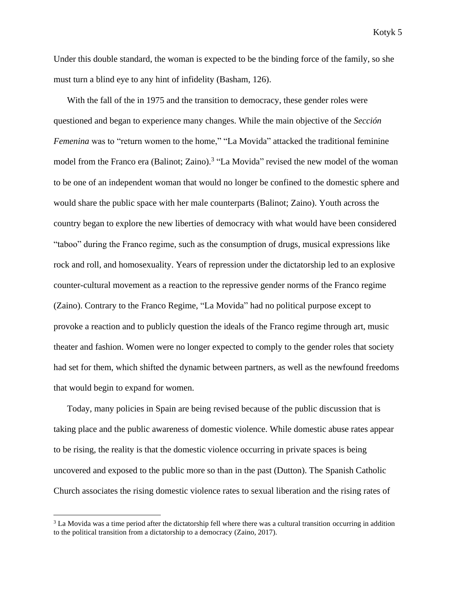Under this double standard, the woman is expected to be the binding force of the family, so she must turn a blind eye to any hint of infidelity (Basham, 126).

With the fall of the in 1975 and the transition to democracy, these gender roles were questioned and began to experience many changes. While the main objective of the *Sección Femenina* was to "return women to the home," "La Movida" attacked the traditional feminine model from the Franco era (Balinot; Zaino).<sup>3</sup> "La Movida" revised the new model of the woman to be one of an independent woman that would no longer be confined to the domestic sphere and would share the public space with her male counterparts (Balinot; Zaino). Youth across the country began to explore the new liberties of democracy with what would have been considered "taboo" during the Franco regime, such as the consumption of drugs, musical expressions like rock and roll, and homosexuality. Years of repression under the dictatorship led to an explosive counter-cultural movement as a reaction to the repressive gender norms of the Franco regime (Zaino). Contrary to the Franco Regime, "La Movida" had no political purpose except to provoke a reaction and to publicly question the ideals of the Franco regime through art, music theater and fashion. Women were no longer expected to comply to the gender roles that society had set for them, which shifted the dynamic between partners, as well as the newfound freedoms that would begin to expand for women.

Today, many policies in Spain are being revised because of the public discussion that is taking place and the public awareness of domestic violence. While domestic abuse rates appear to be rising, the reality is that the domestic violence occurring in private spaces is being uncovered and exposed to the public more so than in the past (Dutton). The Spanish Catholic Church associates the rising domestic violence rates to sexual liberation and the rising rates of

<sup>&</sup>lt;sup>3</sup> La Movida was a time period after the dictatorship fell where there was a cultural transition occurring in addition to the political transition from a dictatorship to a democracy (Zaino, 2017).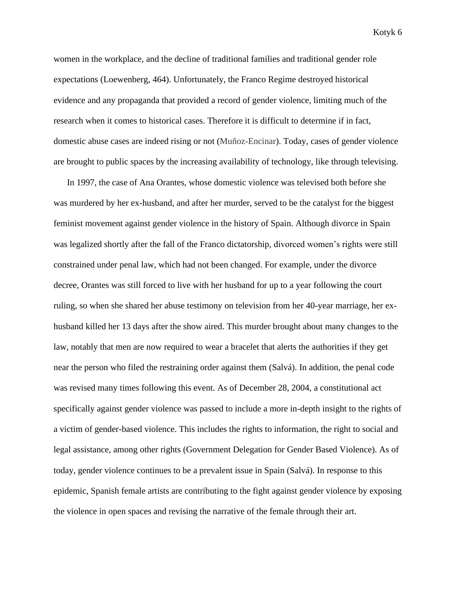women in the workplace, and the decline of traditional families and traditional gender role expectations (Loewenberg, 464). Unfortunately, the Franco Regime destroyed historical evidence and any propaganda that provided a record of gender violence, limiting much of the research when it comes to historical cases. Therefore it is difficult to determine if in fact, domestic abuse cases are indeed rising or not (Muñoz-Encinar). Today, cases of gender violence are brought to public spaces by the increasing availability of technology, like through televising.

In 1997, the case of Ana Orantes, whose domestic violence was televised both before she was murdered by her ex-husband, and after her murder, served to be the catalyst for the biggest feminist movement against gender violence in the history of Spain. Although divorce in Spain was legalized shortly after the fall of the Franco dictatorship, divorced women's rights were still constrained under penal law, which had not been changed. For example, under the divorce decree, Orantes was still forced to live with her husband for up to a year following the court ruling, so when she shared her abuse testimony on television from her 40-year marriage, her exhusband killed her 13 days after the show aired. This murder brought about many changes to the law, notably that men are now required to wear a bracelet that alerts the authorities if they get near the person who filed the restraining order against them (Salvá). In addition, the penal code was revised many times following this event. As of December 28, 2004, a constitutional act specifically against gender violence was passed to include a more in-depth insight to the rights of a victim of gender-based violence. This includes the rights to information, the right to social and legal assistance, among other rights (Government Delegation for Gender Based Violence). As of today, gender violence continues to be a prevalent issue in Spain (Salvá). In response to this epidemic, Spanish female artists are contributing to the fight against gender violence by exposing the violence in open spaces and revising the narrative of the female through their art.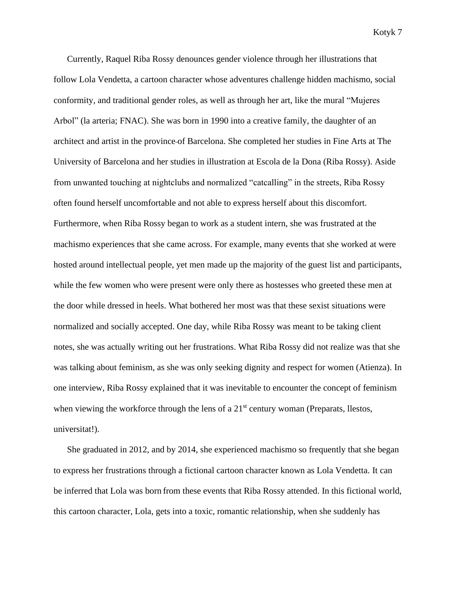Currently, Raquel Riba Rossy denounces gender violence through her illustrations that follow Lola Vendetta, a cartoon character whose adventures challenge hidden machismo, social conformity, and traditional gender roles, as well as through her art, like the mural "Mujeres Arbol" (la arteria; FNAC). She was born in 1990 into a creative family, the daughter of an architect and artist in the province of Barcelona. She completed her studies in Fine Arts at The University of Barcelona and her studies in illustration at Escola de la Dona (Riba Rossy). Aside from unwanted touching at nightclubs and normalized "catcalling" in the streets, Riba Rossy often found herself uncomfortable and not able to express herself about this discomfort. Furthermore, when Riba Rossy began to work as a student intern, she was frustrated at the machismo experiences that she came across. For example, many events that she worked at were hosted around intellectual people, yet men made up the majority of the guest list and participants, while the few women who were present were only there as hostesses who greeted these men at the door while dressed in heels. What bothered her most was that these sexist situations were normalized and socially accepted. One day, while Riba Rossy was meant to be taking client notes, she was actually writing out her frustrations. What Riba Rossy did not realize was that she was talking about feminism, as she was only seeking dignity and respect for women (Atienza). In one interview, Riba Rossy explained that it was inevitable to encounter the concept of feminism when viewing the workforce through the lens of a  $21<sup>st</sup>$  century woman (Preparats, llestos, universitat!).

She graduated in 2012, and by 2014, she experienced machismo so frequently that she began to express her frustrations through a fictional cartoon character known as Lola Vendetta. It can be inferred that Lola was born from these events that Riba Rossy attended. In this fictional world, this cartoon character, Lola, gets into a toxic, romantic relationship, when she suddenly has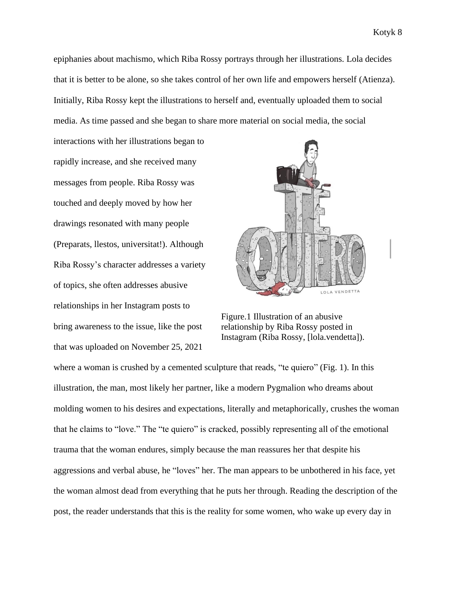epiphanies about machismo, which Riba Rossy portrays through her illustrations. Lola decides that it is better to be alone, so she takes control of her own life and empowers herself (Atienza). Initially, Riba Rossy kept the illustrations to herself and, eventually uploaded them to social media. As time passed and she began to share more material on social media, the social

interactions with her illustrations began to rapidly increase, and she received many messages from people. Riba Rossy was touched and deeply moved by how her drawings resonated with many people (Preparats, llestos, universitat!). Although Riba Rossy's character addresses a variety of topics, she often addresses abusive relationships in her Instagram posts to bring awareness to the issue, like the post that was uploaded on November 25, 2021



Figure.1 Illustration of an abusive relationship by Riba Rossy posted in Instagram (Riba Rossy, [lola.vendetta]).

where a woman is crushed by a cemented sculpture that reads, "te quiero" (Fig. 1). In this illustration, the man, most likely her partner, like a modern Pygmalion who dreams about molding women to his desires and expectations, literally and metaphorically, crushes the woman that he claims to "love." The "te quiero" is cracked, possibly representing all of the emotional trauma that the woman endures, simply because the man reassures her that despite his aggressions and verbal abuse, he "loves" her. The man appears to be unbothered in his face, yet the woman almost dead from everything that he puts her through. Reading the description of the post, the reader understands that this is the reality for some women, who wake up every day in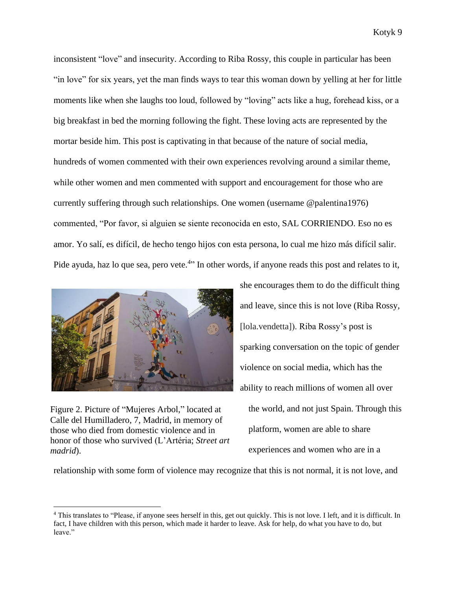inconsistent "love" and insecurity. According to Riba Rossy, this couple in particular has been "in love" for six years, yet the man finds ways to tear this woman down by yelling at her for little moments like when she laughs too loud, followed by "loving" acts like a hug, forehead kiss, or a big breakfast in bed the morning following the fight. These loving acts are represented by the mortar beside him. This post is captivating in that because of the nature of social media, hundreds of women commented with their own experiences revolving around a similar theme, while other women and men commented with support and encouragement for those who are currently suffering through such relationships. One women (username @palentina1976) commented, "Por favor, si alguien se siente reconocida en esto, SAL CORRIENDO. Eso no es amor. Yo salí, es difícil, de hecho tengo hijos con esta persona, lo cual me hizo más difícil salir. Pide ayuda, haz lo que sea, pero vete.<sup>4</sup>" In other words, if anyone reads this post and relates to it,



Figure 2. Picture of "Mujeres Arbol," located at Calle del Humilladero, 7, Madrid, in memory of those who died from domestic violence and in honor of those who survived (L'Artéria; *Street art madrid*).

she encourages them to do the difficult thing and leave, since this is not love (Riba Rossy, [lola.vendetta]). Riba Rossy's post is sparking conversation on the topic of gender violence on social media, which has the ability to reach millions of women all over the world, and not just Spain. Through this platform, women are able to share experiences and women who are in a

relationship with some form of violence may recognize that this is not normal, it is not love, and

<sup>4</sup> This translates to "Please, if anyone sees herself in this, get out quickly. This is not love. I left, and it is difficult. In fact, I have children with this person, which made it harder to leave. Ask for help, do what you have to do, but leave."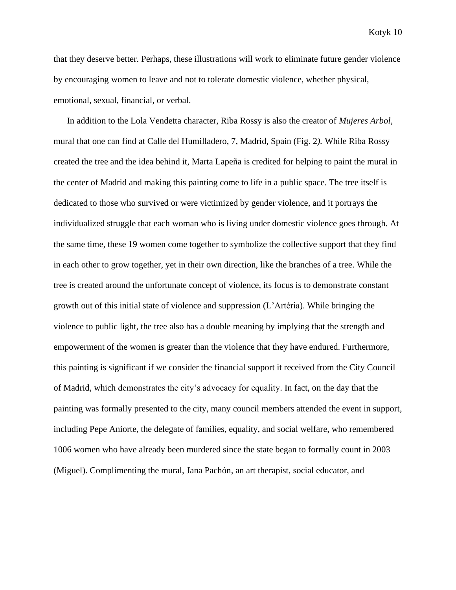that they deserve better. Perhaps, these illustrations will work to eliminate future gender violence by encouraging women to leave and not to tolerate domestic violence, whether physical, emotional, sexual, financial, or verbal.

In addition to the Lola Vendetta character, Riba Rossy is also the creator of *Mujeres Arbol,*  mural that one can find at Calle del Humilladero, 7, Madrid, Spain (Fig. 2*).* While Riba Rossy created the tree and the idea behind it, Marta Lapeña is credited for helping to paint the mural in the center of Madrid and making this painting come to life in a public space. The tree itself is dedicated to those who survived or were victimized by gender violence, and it portrays the individualized struggle that each woman who is living under domestic violence goes through. At the same time, these 19 women come together to symbolize the collective support that they find in each other to grow together, yet in their own direction, like the branches of a tree. While the tree is created around the unfortunate concept of violence, its focus is to demonstrate constant growth out of this initial state of violence and suppression (L'Artéria). While bringing the violence to public light, the tree also has a double meaning by implying that the strength and empowerment of the women is greater than the violence that they have endured. Furthermore, this painting is significant if we consider the financial support it received from the City Council of Madrid, which demonstrates the city's advocacy for equality. In fact, on the day that the painting was formally presented to the city, many council members attended the event in support, including Pepe Aniorte, the delegate of families, equality, and social welfare, who remembered 1006 women who have already been murdered since the state began to formally count in 2003 (Miguel). Complimenting the mural, Jana Pachón, an art therapist, social educator, and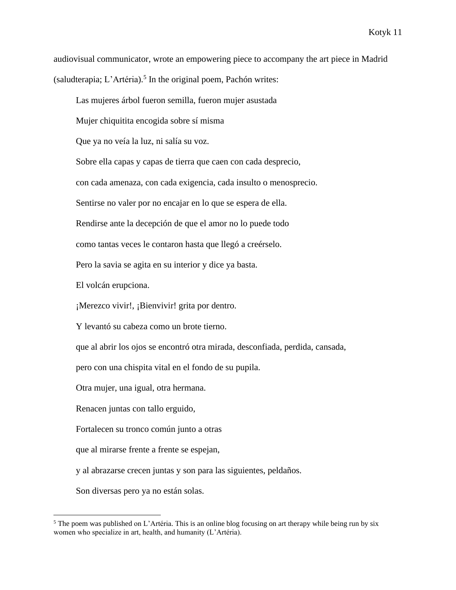audiovisual communicator, wrote an empowering piece to accompany the art piece in Madrid (saludterapia; L'Artéria).<sup>5</sup> In the original poem, Pachón writes:

Las mujeres árbol fueron semilla, fueron mujer asustada

Mujer chiquitita encogida sobre sí misma

Que ya no veía la luz, ni salía su voz.

Sobre ella capas y capas de tierra que caen con cada desprecio,

con cada amenaza, con cada exigencia, cada insulto o menosprecio.

Sentirse no valer por no encajar en lo que se espera de ella.

Rendirse ante la decepción de que el amor no lo puede todo

como tantas veces le contaron hasta que llegó a creérselo.

Pero la savia se agita en su interior y dice ya basta.

El volcán erupciona.

¡Merezco vivir!, ¡Bienvivir! grita por dentro.

Y levantó su cabeza como un brote tierno.

que al abrir los ojos se encontró otra mirada, desconfiada, perdida, cansada,

pero con una chispita vital en el fondo de su pupila.

Otra mujer, una igual, otra hermana.

Renacen juntas con tallo erguido,

Fortalecen su tronco común junto a otras

que al mirarse frente a frente se espejan,

y al abrazarse crecen juntas y son para las siguientes, peldaños.

Son diversas pero ya no están solas.

<sup>&</sup>lt;sup>5</sup> The poem was published on L'Artéria. This is an online blog focusing on art therapy while being run by six women who specialize in art, health, and humanity (L'Artéria).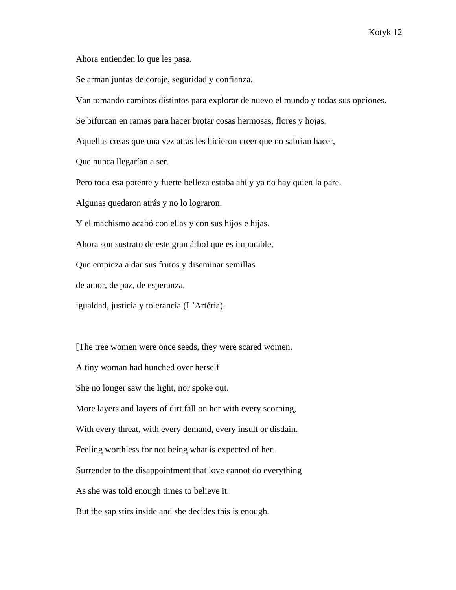Ahora entienden lo que les pasa.

Se arman juntas de coraje, seguridad y confianza.

Van tomando caminos distintos para explorar de nuevo el mundo y todas sus opciones.

Se bifurcan en ramas para hacer brotar cosas hermosas, flores y hojas.

Aquellas cosas que una vez atrás les hicieron creer que no sabrían hacer,

Que nunca llegarían a ser.

Pero toda esa potente y fuerte belleza estaba ahí y ya no hay quien la pare.

Algunas quedaron atrás y no lo lograron.

Y el machismo acabó con ellas y con sus hijos e hijas.

Ahora son sustrato de este gran árbol que es imparable,

Que empieza a dar sus frutos y diseminar semillas

de amor, de paz, de esperanza,

igualdad, justicia y tolerancia (L'Artéria).

[The tree women were once seeds, they were scared women.

A tiny woman had hunched over herself

She no longer saw the light, nor spoke out.

More layers and layers of dirt fall on her with every scorning,

With every threat, with every demand, every insult or disdain.

Feeling worthless for not being what is expected of her.

Surrender to the disappointment that love cannot do everything

As she was told enough times to believe it.

But the sap stirs inside and she decides this is enough.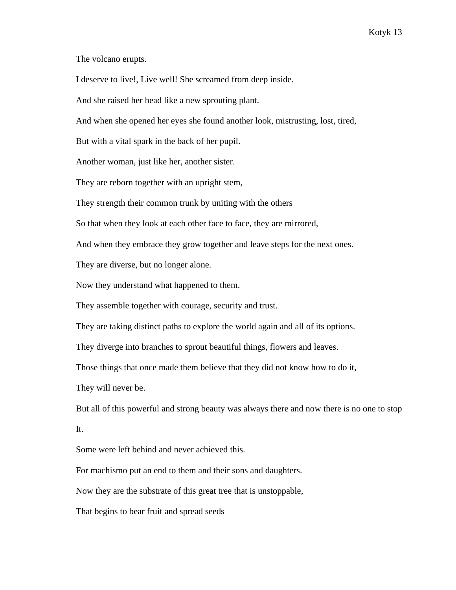The volcano erupts.

I deserve to live!, Live well! She screamed from deep inside.

And she raised her head like a new sprouting plant.

And when she opened her eyes she found another look, mistrusting, lost, tired,

But with a vital spark in the back of her pupil.

Another woman, just like her, another sister.

They are reborn together with an upright stem,

They strength their common trunk by uniting with the others

So that when they look at each other face to face, they are mirrored,

And when they embrace they grow together and leave steps for the next ones.

They are diverse, but no longer alone.

Now they understand what happened to them.

They assemble together with courage, security and trust.

They are taking distinct paths to explore the world again and all of its options.

They diverge into branches to sprout beautiful things, flowers and leaves.

Those things that once made them believe that they did not know how to do it,

They will never be.

 But all of this powerful and strong beauty was always there and now there is no one to stop It.

Some were left behind and never achieved this.

For machismo put an end to them and their sons and daughters.

Now they are the substrate of this great tree that is unstoppable,

That begins to bear fruit and spread seeds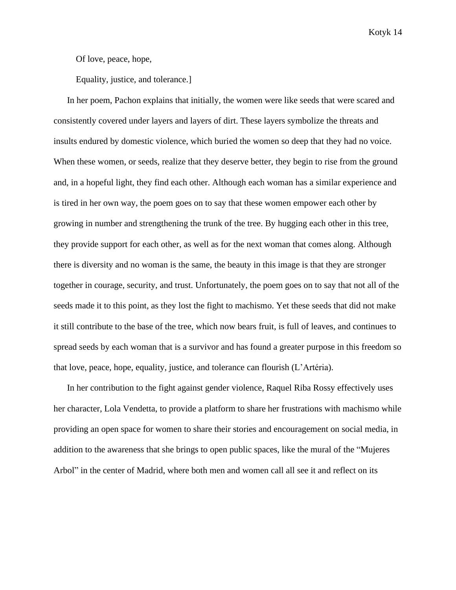Of love, peace, hope,

Equality, justice, and tolerance.]

In her poem, Pachon explains that initially, the women were like seeds that were scared and consistently covered under layers and layers of dirt. These layers symbolize the threats and insults endured by domestic violence, which buried the women so deep that they had no voice. When these women, or seeds, realize that they deserve better, they begin to rise from the ground and, in a hopeful light, they find each other. Although each woman has a similar experience and is tired in her own way, the poem goes on to say that these women empower each other by growing in number and strengthening the trunk of the tree. By hugging each other in this tree, they provide support for each other, as well as for the next woman that comes along. Although there is diversity and no woman is the same, the beauty in this image is that they are stronger together in courage, security, and trust. Unfortunately, the poem goes on to say that not all of the seeds made it to this point, as they lost the fight to machismo. Yet these seeds that did not make it still contribute to the base of the tree, which now bears fruit, is full of leaves, and continues to spread seeds by each woman that is a survivor and has found a greater purpose in this freedom so that love, peace, hope, equality, justice, and tolerance can flourish (L'Artéria).

In her contribution to the fight against gender violence, Raquel Riba Rossy effectively uses her character, Lola Vendetta, to provide a platform to share her frustrations with machismo while providing an open space for women to share their stories and encouragement on social media, in addition to the awareness that she brings to open public spaces, like the mural of the "Mujeres Arbol" in the center of Madrid, where both men and women call all see it and reflect on its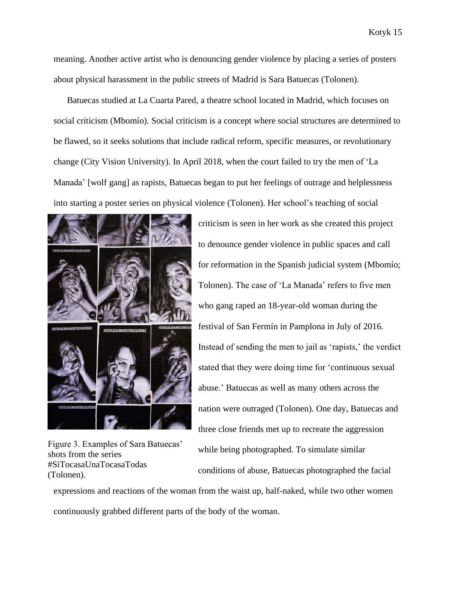meaning. Another active artist who is denouncing gender violence by placing a series of posters about physical harassment in the public streets of Madrid is Sara Batuecas (Tolonen).

Batuecas studied at La Cuarta Pared, a theatre school located in Madrid, which focuses on social criticism (Mbomío). Social criticism is a concept where social structures are determined to be flawed, so it seeks solutions that include radical reform, specific measures, or revolutionary change (City Vision University). In April 2018, when the court failed to try the men of 'La Manada' [wolf gang] as rapists, Batuecas began to put her feelings of outrage and helplessness into starting a poster series on physical violence (Tolonen). Her school's teaching of social



Figure 3. Examples of Sara Batuecas' shots from the series #SiTocasaUnaTocasaTodas (Tolonen).

criticism is seen in her work as she created this project to denounce gender violence in public spaces and call for reformation in the Spanish judicial system (Mbomío; Tolonen). The case of 'La Manada' refers to five men who gang raped an 18-year-old woman during the festival of San Fermín in Pamplona in July of 2016. Instead of sending the men to jail as 'rapists,' the verdict stated that they were doing time for 'continuous sexual abuse.' Batuecas as well as many others across the nation were outraged (Tolonen). One day, Batuecas and three close friends met up to recreate the aggression while being photographed. To simulate similar conditions of abuse, Batuecas photographed the facial

expressions and reactions of the woman from the waist up, half-naked, while two other women continuously grabbed different parts of the body of the woman.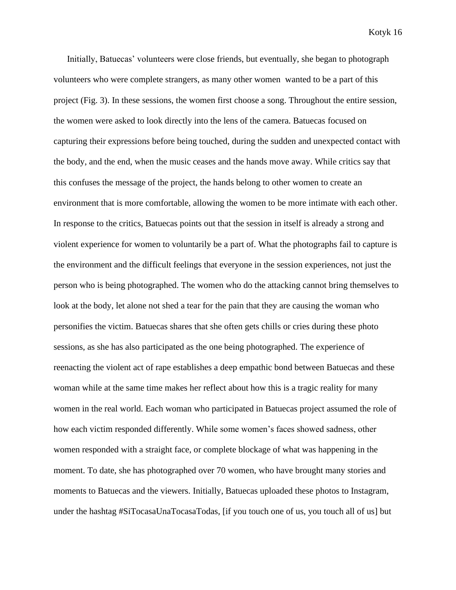Initially, Batuecas' volunteers were close friends, but eventually, she began to photograph volunteers who were complete strangers, as many other women wanted to be a part of this project (Fig. 3). In these sessions, the women first choose a song. Throughout the entire session, the women were asked to look directly into the lens of the camera. Batuecas focused on capturing their expressions before being touched, during the sudden and unexpected contact with the body, and the end, when the music ceases and the hands move away. While critics say that this confuses the message of the project, the hands belong to other women to create an environment that is more comfortable, allowing the women to be more intimate with each other. In response to the critics, Batuecas points out that the session in itself is already a strong and violent experience for women to voluntarily be a part of. What the photographs fail to capture is the environment and the difficult feelings that everyone in the session experiences, not just the person who is being photographed. The women who do the attacking cannot bring themselves to look at the body, let alone not shed a tear for the pain that they are causing the woman who personifies the victim. Batuecas shares that she often gets chills or cries during these photo sessions, as she has also participated as the one being photographed. The experience of reenacting the violent act of rape establishes a deep empathic bond between Batuecas and these woman while at the same time makes her reflect about how this is a tragic reality for many women in the real world. Each woman who participated in Batuecas project assumed the role of how each victim responded differently. While some women's faces showed sadness, other women responded with a straight face, or complete blockage of what was happening in the moment. To date, she has photographed over 70 women, who have brought many stories and moments to Batuecas and the viewers. Initially, Batuecas uploaded these photos to Instagram, under the hashtag #SiTocasaUnaTocasaTodas, [if you touch one of us, you touch all of us] but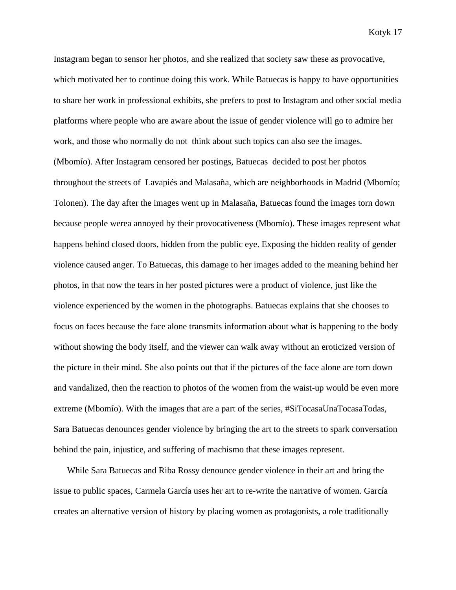Instagram began to sensor her photos, and she realized that society saw these as provocative, which motivated her to continue doing this work. While Batuecas is happy to have opportunities to share her work in professional exhibits, she prefers to post to Instagram and other social media platforms where people who are aware about the issue of gender violence will go to admire her work, and those who normally do not think about such topics can also see the images. (Mbomío). After Instagram censored her postings, Batuecas decided to post her photos throughout the streets of Lavapiés and Malasaña, which are neighborhoods in Madrid (Mbomío; Tolonen). The day after the images went up in Malasaña, Batuecas found the images torn down because people werea annoyed by their provocativeness (Mbomío). These images represent what happens behind closed doors, hidden from the public eye. Exposing the hidden reality of gender violence caused anger. To Batuecas, this damage to her images added to the meaning behind her photos, in that now the tears in her posted pictures were a product of violence, just like the violence experienced by the women in the photographs. Batuecas explains that she chooses to focus on faces because the face alone transmits information about what is happening to the body without showing the body itself, and the viewer can walk away without an eroticized version of the picture in their mind. She also points out that if the pictures of the face alone are torn down and vandalized, then the reaction to photos of the women from the waist-up would be even more extreme (Mbomío). With the images that are a part of the series, #SiTocasaUnaTocasaTodas, Sara Batuecas denounces gender violence by bringing the art to the streets to spark conversation behind the pain, injustice, and suffering of machismo that these images represent.

While Sara Batuecas and Riba Rossy denounce gender violence in their art and bring the issue to public spaces, Carmela García uses her art to re-write the narrative of women. García creates an alternative version of history by placing women as protagonists, a role traditionally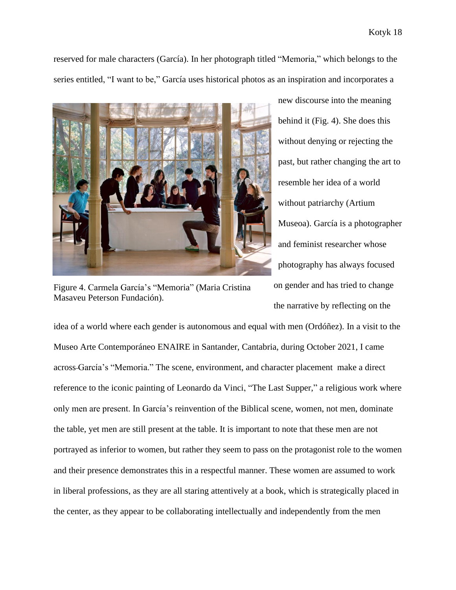reserved for male characters (García). In her photograph titled "Memoria," which belongs to the series entitled, "I want to be," García uses historical photos as an inspiration and incorporates a



Figure 4. Carmela García's "Memoria" (Maria Cristina Masaveu Peterson Fundación).

new discourse into the meaning behind it (Fig. 4). She does this without denying or rejecting the past, but rather changing the art to resemble her idea of a world without patriarchy (Artium Museoa). García is a photographer and feminist researcher whose photography has always focused on gender and has tried to change the narrative by reflecting on the

idea of a world where each gender is autonomous and equal with men (Ordóñez). In a visit to the Museo Arte Contemporáneo ENAIRE in Santander, Cantabria, during October 2021, I came across García's "Memoria." The scene, environment, and character placement make a direct reference to the iconic painting of Leonardo da Vinci, "The Last Supper," a religious work where only men are present. In García's reinvention of the Biblical scene, women, not men, dominate the table, yet men are still present at the table. It is important to note that these men are not portrayed as inferior to women, but rather they seem to pass on the protagonist role to the women and their presence demonstrates this in a respectful manner. These women are assumed to work in liberal professions, as they are all staring attentively at a book, which is strategically placed in the center, as they appear to be collaborating intellectually and independently from the men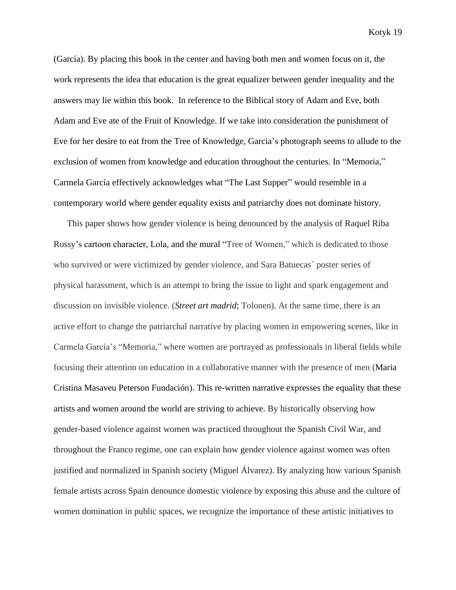(García). By placing this book in the center and having both men and women focus on it, the work represents the idea that education is the great equalizer between gender inequality and the answers may lie within this book. In reference to the Biblical story of Adam and Eve, both Adam and Eve ate of the Fruit of Knowledge. If we take into consideration the punishment of Eve for her desire to eat from the Tree of Knowledge, Garcia's photograph seems to allude to the exclusion of women from knowledge and education throughout the centuries. In "Memoria," Carmela García effectively acknowledges what "The Last Supper" would resemble in a contemporary world where gender equality exists and patriarchy does not dominate history.

This paper shows how gender violence is being denounced by the analysis of Raquel Riba Rossy's cartoon character, Lola, and the mural "Tree of Women," which is dedicated to those who survived or were victimized by gender violence, and Sara Batuecas´ poster series of physical harassment, which is an attempt to bring the issue to light and spark engagement and discussion on invisible violence. (*Street art madrid*; Tolonen). At the same time, there is an active effort to change the patriarchal narrative by placing women in empowering scenes, like in Carmela García's "Memoria," where women are portrayed as professionals in liberal fields while focusing their attention on education in a collaborative manner with the presence of men (Maria Cristina Masaveu Peterson Fundación). This re-written narrative expresses the equality that these artists and women around the world are striving to achieve. By historically observing how gender-based violence against women was practiced throughout the Spanish Civil War, and throughout the Franco regime, one can explain how gender violence against women was often justified and normalized in Spanish society (Miguel Álvarez). By analyzing how various Spanish female artists across Spain denounce domestic violence by exposing this abuse and the culture of women domination in public spaces, we recognize the importance of these artistic initiatives to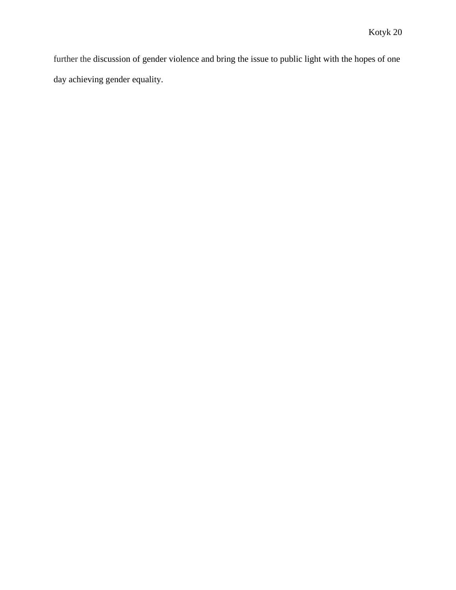further the discussion of gender violence and bring the issue to public light with the hopes of one day achieving gender equality.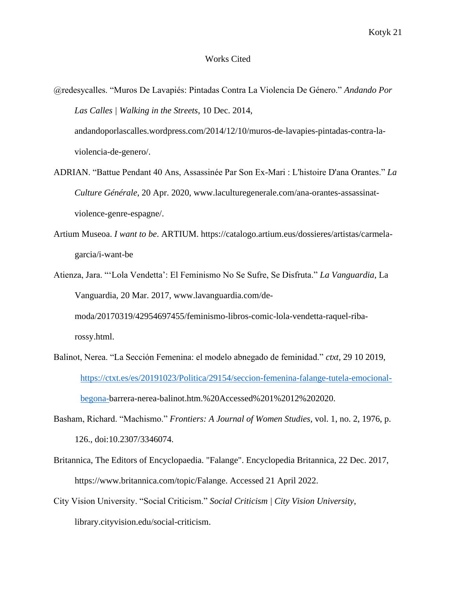#### Works Cited

- @redesycalles. "Muros De Lavapiés: Pintadas Contra La Violencia De Género." *Andando Por Las Calles | Walking in the Streets*, 10 Dec. 2014, andandoporlascalles.wordpress.com/2014/12/10/muros-de-lavapies-pintadas-contra-laviolencia-de-genero/.
- ADRIAN. "Battue Pendant 40 Ans, Assassinée Par Son Ex-Mari : L'histoire D'ana Orantes." *La Culture Générale*, 20 Apr. 2020, www.laculturegenerale.com/ana-orantes-assassinatviolence-genre-espagne/.
- Artium Museoa. *I want to be*. ARTIUM. https://catalogo.artium.eus/dossieres/artistas/carmelagarcia/i-want-be
- Atienza, Jara. "'Lola Vendetta': El Feminismo No Se Sufre, Se Disfruta." *La Vanguardia*, La Vanguardia, 20 Mar. 2017, www.lavanguardia.com/demoda/20170319/42954697455/feminismo-libros-comic-lola-vendetta-raquel-ribarossy.html.
- Balinot, Nerea. "La Sección Femenina: el modelo abnegado de feminidad." *ctxt*, 29 10 2019, [https://ctxt.es/es/20191023/Politica/29154/seccion-femenina-falange-tutela-emocional](https://ctxt.es/es/20191023/Politica/29154/seccion-femenina-falange-tutela-emocional-begona-)[begona-b](https://ctxt.es/es/20191023/Politica/29154/seccion-femenina-falange-tutela-emocional-begona-)arrera-nerea-balinot.htm.%20Accessed%201%2012%202020.
- Basham, Richard. "Machismo." *Frontiers: A Journal of Women Studies*, vol. 1, no. 2, 1976, p. 126., doi:10.2307/3346074.
- Britannica, The Editors of Encyclopaedia. "Falange". Encyclopedia Britannica, 22 Dec. 2017, https://www.britannica.com/topic/Falange. Accessed 21 April 2022.
- City Vision University. "Social Criticism." *Social Criticism | City Vision University*, library.cityvision.edu/social-criticism.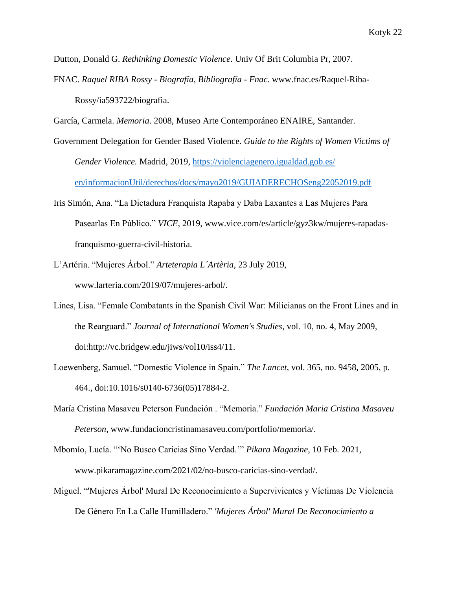Dutton, Donald G. *Rethinking Domestic Violence*. Univ Of Brit Columbia Pr, 2007.

- FNAC. *Raquel RIBA Rossy - Biografía, Bibliografía - Fnac*. www.fnac.es/Raquel-Riba-Rossy/ia593722/biografia.
- García, Carmela. *Memoria*. 2008, Museo Arte Contemporáneo ENAIRE, Santander.
- Government Delegation for Gender Based Violence. *Guide to the Rights of Women Victims of Gender Violence.* Madrid, 2019, [https://violenciagenero.igualdad.gob.es/](https://violenciagenero.igualdad.gob.es/%20en/informacionUtil/derechos/docs/mayo2019/GUIADERECHOSeng22052019.pdf)  [en/informacionUtil/derechos/docs/mayo2019/GUIADERECHOSeng22052019.pdf](https://violenciagenero.igualdad.gob.es/%20en/informacionUtil/derechos/docs/mayo2019/GUIADERECHOSeng22052019.pdf)
- Iris Simón, Ana. "La Dictadura Franquista Rapaba y Daba Laxantes a Las Mujeres Para Pasearlas En Público." *VICE*, 2019, www.vice.com/es/article/gyz3kw/mujeres-rapadasfranquismo-guerra-civil-historia.
- L'Artéria. "Mujeres Árbol." *Arteterapia L´Artèria*, 23 July 2019, www.larteria.com/2019/07/mujeres-arbol/.
- Lines, Lisa. "Female Combatants in the Spanish Civil War: Milicianas on the Front Lines and in the Rearguard." *Journal of International Women's Studies*, vol. 10, no. 4, May 2009, doi:http://vc.bridgew.edu/jiws/vol10/iss4/11.
- Loewenberg, Samuel. "Domestic Violence in Spain." *The Lancet*, vol. 365, no. 9458, 2005, p. 464., doi:10.1016/s0140-6736(05)17884-2.
- María Cristina Masaveu Peterson Fundación . "Memoria." *Fundación Maria Cristina Masaveu Peterson*, www.fundacioncristinamasaveu.com/portfolio/memoria/.
- Mbomío, Lucía. "'No Busco Caricias Sino Verdad.'" *Pikara Magazine*, 10 Feb. 2021, www.pikaramagazine.com/2021/02/no-busco-caricias-sino-verdad/.
- Miguel. "'Mujeres Árbol' Mural De Reconocimiento a Supervivientes y Víctimas De Violencia De Género En La Calle Humilladero." *'Mujeres Árbol' Mural De Reconocimiento a*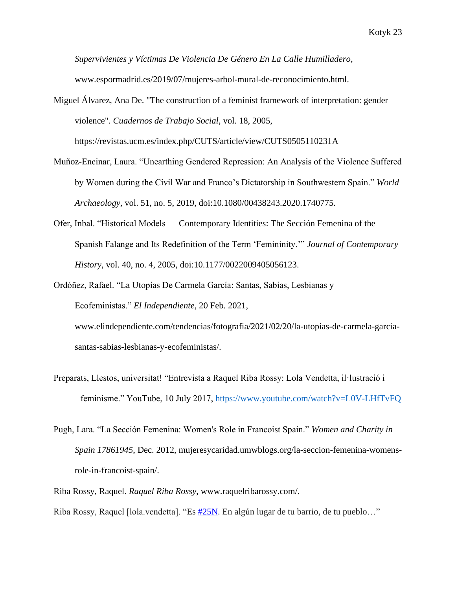*Supervivientes y Víctimas De Violencia De Género En La Calle Humilladero*, www.espormadrid.es/2019/07/mujeres-arbol-mural-de-reconocimiento.html.

Miguel Álvarez, Ana De. "The construction of a feminist framework of interpretation: gender violence". *Cuadernos de Trabajo Social*, vol. 18, 2005, <https://revistas.ucm.es/index.php/CUTS/article/view/CUTS0505110231A>

- Muñoz-Encinar, Laura. "Unearthing Gendered Repression: An Analysis of the Violence Suffered by Women during the Civil War and Franco's Dictatorship in Southwestern Spain." *World Archaeology*, vol. 51, no. 5, 2019, doi:10.1080/00438243.2020.1740775.
- Ofer, Inbal. "Historical Models Contemporary Identities: The Sección Femenina of the Spanish Falange and Its Redefinition of the Term 'Femininity.'" *Journal of Contemporary History*, vol. 40, no. 4, 2005, doi:10.1177/0022009405056123.
- Ordóñez, Rafael. "La Utopías De Carmela García: Santas, Sabias, Lesbianas y Ecofeministas." *El Independiente*, 20 Feb. 2021, www.elindependiente.com/tendencias/fotografia/2021/02/20/la-utopias-de-carmela-garciasantas-sabias-lesbianas-y-ecofeministas/.
- Preparats, Llestos, universitat! "Entrevista a Raquel Riba Rossy: Lola Vendetta, il·lustració i feminisme." YouTube, 10 July 2017,<https://www.youtube.com/watch?v=L0V-LHfTvFQ>
- Pugh, Lara. "La Sección Femenina: Women's Role in Francoist Spain." *Women and Charity in Spain 17861945*, Dec. 2012, mujeresycaridad.umwblogs.org/la-seccion-femenina-womensrole-in-francoist-spain/.
- Riba Rossy, Raquel. *Raquel Riba Rossy*, www.raquelribarossy.com/.

Riba Rossy, Raquel [lola.vendetta]. "Es  $\frac{\#25N}{25}$ . En algún lugar de tu barrio, de tu pueblo..."